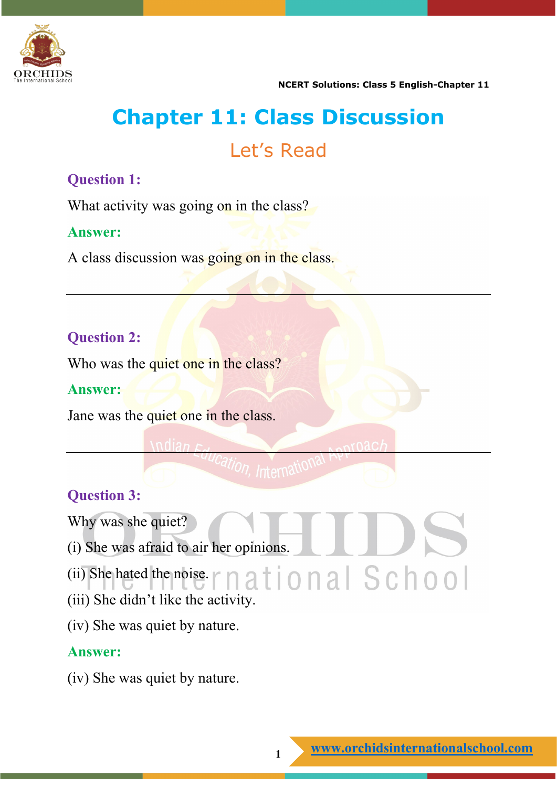

# **Chapter 11: Class Discussion** Let's Read

## **Question 1:**

What activity was going on in the class?

### **Answer:**

A class discussion was going on in the class.

# **Question 2:**

Who was the quiet one in the class?

### **Answer:**

Jane was the quiet one in the class.

# **Question 3:**

Why was she quiet?

- (i) She was afraid to air her opinions.
- $(ii)$  She hated the noise.  $r \nmid a \nmid o \nmid a \nmid S \nmid o \nmid o \nmid b$
- (iii) She didn't like the activity.
- (iv) She was quiet by nature.

### **Answer:**

(iv) She was quiet by nature.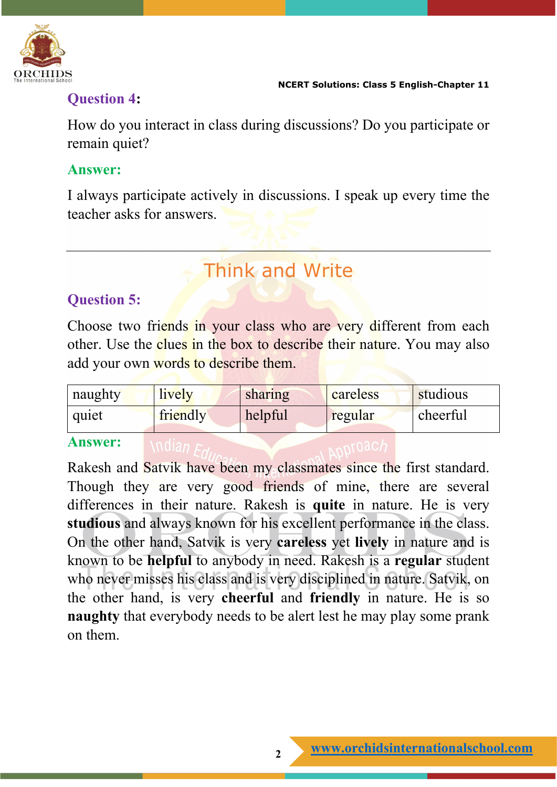

# **Question 4:**

How do you interact in class during discussions? Do you participate or remain quiet?

### **Answer:**

I always participate actively in discussions. I speak up every time the teacher asks for answers.

# Think and Write

# **Question 5:**

Choose two friends in your class who are very different from each other. Use the **clues in the box to describe their nature**. You may also add your own words to describe them.

| naughty | lively   | sharing | careless | studious |
|---------|----------|---------|----------|----------|
| quiet   | friendly | helpful | regular  | cheerful |

#### **Answer:**

Rakesh and Satvik have been my classmates since the first standard. Though they are very good friends of mine, there are several differences in their nature. Rakesh is **quite** in nature. He is very **studious** and always known for his excellent performance in the class. On the other hand, Satvik is very **careless** yet **lively** in nature and is known to be **helpful** to anybody in need. Rakesh is a **regular** student who never misses his class and is very disciplined in nature. Satvik, on the other hand, is very **cheerful** and **friendly** in nature. He is so **naughty** that everybody needs to be alert lest he may play some prank on them.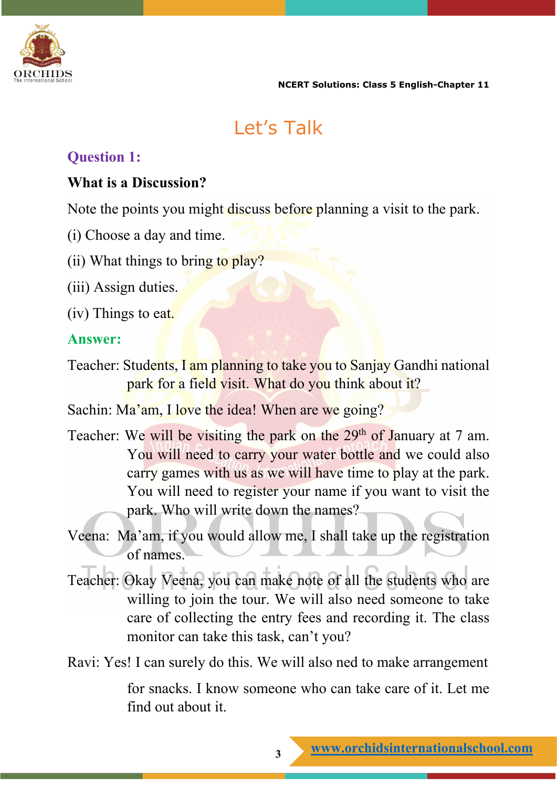

**NCERT Solutions: Class 5 English-Chapter 11**

# Let's Talk

### **Question 1:**

### **What is a Discussion?**

Note the points you might discuss before planning a visit to the park.

- (i) Choose a day and time.
- (ii) What things to bring to play?
- (iii) Assign duties.
- (iv) Things to eat.

### **Answer:**

Teacher: Students, I am planning to take you to Sanjay Gandhi national park for a field visit. What do you think about it?

Sachin: Ma'am, I love the idea! When are we going?

- Teacher: We will be visiting the park on the 29<sup>th</sup> of January at 7 am. You will need to carry your water bottle and we could also carry games with us as we will have time to play at the park. You will need to register your name if you want to visit the park. Who will write down the names?
- Veena: Ma'am, if you would allow me, I shall take up the registration of names.
- Teacher: Okay Veena, you can make note of all the students who are willing to join the tour. We will also need someone to take care of collecting the entry fees and recording it. The class monitor can take this task, can't you?
- Ravi: Yes! I can surely do this. We will also ned to make arrangement

for snacks. I know someone who can take care of it. Let me find out about it.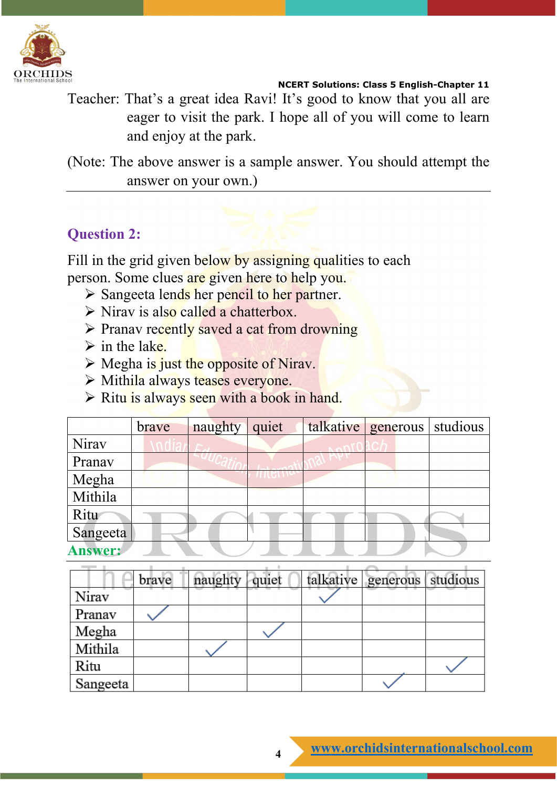

**NCERT Solutions: Class 5 English-Chapter 11**

Teacher: That's a great idea Ravi! It's good to know that you all are eager to visit the park. I hope all of you will come to learn and enjoy at the park.

(Note: The above answer is a sample answer. You should attempt the answer on your own.)

# **Question 2:**

Fill in the grid given below by assigning qualities to each person. Some clues are given here to help you.

- $\triangleright$  Sangeeta lends her pencil to her partner.
- $\triangleright$  Nirav is also called a chatterbox.
- $\triangleright$  Pranav recently saved a cat from drowning
- $\triangleright$  in the lake.
- $\triangleright$  Megha is just the opposite of Nirav.
- > Mithila always teases everyone.
- $\triangleright$  Ritu is always seen with a book in hand.

|                | brave | naughty | quiet | $talkative$ generous studious |  |
|----------------|-------|---------|-------|-------------------------------|--|
| Nirav          |       |         |       |                               |  |
| Pranav         |       |         |       |                               |  |
| Megha          |       |         |       |                               |  |
| Mithila        |       |         |       |                               |  |
| Ritu           |       |         |       |                               |  |
| Sangeeta       |       |         |       |                               |  |
| <b>Answer:</b> |       |         |       |                               |  |

|          | brave | naughty | quiet | talkative generous studious |  |
|----------|-------|---------|-------|-----------------------------|--|
| Niray    |       |         |       |                             |  |
| Pranav   |       |         |       |                             |  |
| Megha    |       |         |       |                             |  |
| Mithila  |       |         |       |                             |  |
| Ritu     |       |         |       |                             |  |
| Sangeeta |       |         |       |                             |  |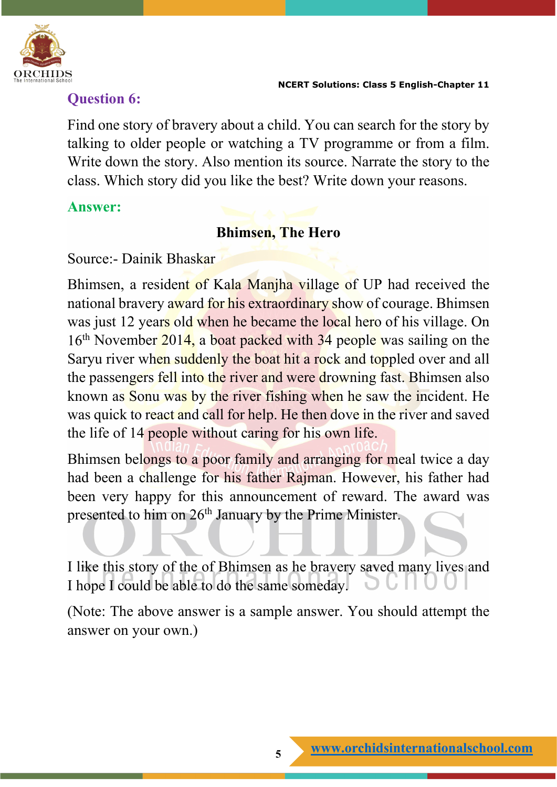

### **Question 6:**

Find one story of bravery about a child. You can search for the story by talking to older people or watching a TV programme or from a film. Write down the story. Also mention its source. Narrate the story to the class. Which story did you like the best? Write down your reasons.

### **Answer:**

### **Bhimsen, The Hero**

Source:- Dainik Bhaskar

Bhimsen, a resident of Kala Manjha village of UP had received the national bravery award for his extraordinary show of courage. Bhimsen was just 12 years old when he became the local hero of his village. On 16<sup>th</sup> November 2014, a boat packed with 34 people was sailing on the Saryu river when suddenly the boat hit a rock and toppled over and all the passengers fell into the river and were drowning fast. Bhimsen also known as Sonu was by the river fishing when he saw the incident. He was quick to react and call for help. He then dove in the river and saved the life of 14 people without caring for his own life.

Bhimsen belongs to a poor family and arranging for meal twice a day had been a challenge for his father Rajman. However, his father had been very happy for this announcement of reward. The award was presented to him on 26th January by the Prime Minister.

I like this story of the of Bhimsen as he bravery saved many lives and I hope I could be able to do the same someday.

(Note: The above answer is a sample answer. You should attempt the answer on your own.)